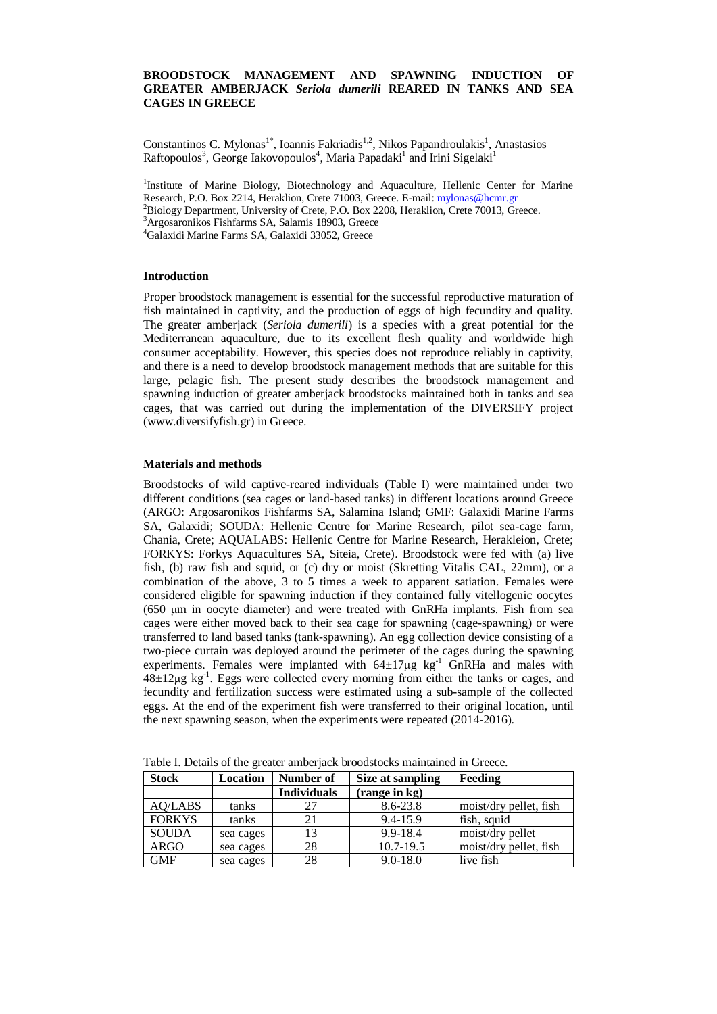# **BROODSTOCK MANAGEMENT AND SPAWNING INDUCTION OF GREATER AMBERJACK** *Seriola dumerili* **REARED IN TANKS AND SEA CAGES IN GREECE**

Constantinos C. Mylonas<sup>1\*</sup>, Ioannis Fakriadis<sup>1,2</sup>, Nikos Papandroulakis<sup>1</sup>, Anastasios Raftopoulos<sup>3</sup>, George Iakovopoulos<sup>4</sup>, Maria Papadaki<sup>1</sup> and Irini Sigelaki<sup>1</sup>

<sup>1</sup>Institute of Marine Biology, Biotechnology and Aquaculture, Hellenic Center for Marine Research, P.O. Box 2214, Heraklion, Crete 71003, Greece. E-mail: [mylonas@hcmr.gr](mailto:mylonas@hcmr.gr) <sup>2</sup>Biology Department, University of Crete, P.O. Box 2208, Heraklion, Crete 70013, Greece.

<sup>3</sup>Argosaronikos Fishfarms SA, Salamis 18903, Greece <sup>4</sup>Galaxidi Marine Farms SA, Galaxidi 33052, Greece

### **Introduction**

Proper broodstock management is essential for the successful reproductive maturation of fish maintained in captivity, and the production of eggs of high fecundity and quality. The greater amberjack (*Seriola dumerili*) is a species with a great potential for the Mediterranean aquaculture, due to its excellent flesh quality and worldwide high consumer acceptability. However, this species does not reproduce reliably in captivity, and there is a need to develop broodstock management methods that are suitable for this large, pelagic fish. The present study describes the broodstock management and spawning induction of greater amberjack broodstocks maintained both in tanks and sea cages, that was carried out during the implementation of the DIVERSIFY project (www.diversifyfish.gr) in Greece.

#### **Materials and methods**

Broodstocks of wild captive-reared individuals (Table I) were maintained under two different conditions (sea cages or land-based tanks) in different locations around Greece (ARGO: Argosaronikos Fishfarms SA, Salamina Island; GMF: Galaxidi Marine Farms SA, Galaxidi; SOUDA: Hellenic Centre for Marine Research, pilot sea-cage farm, Chania, Crete; AQUALABS: Hellenic Centre for Marine Research, Herakleion, Crete; FORKYS: Forkys Aquacultures SA, Siteia, Crete). Broodstock were fed with (a) live fish, (b) raw fish and squid, or (c) dry or moist (Skretting Vitalis CAL, 22mm), or a combination of the above, 3 to 5 times a week to apparent satiation. Females were considered eligible for spawning induction if they contained fully vitellogenic oocytes (650 μm in oocyte diameter) and were treated with GnRHa implants. Fish from sea cages were either moved back to their sea cage for spawning (cage-spawning) or were transferred to land based tanks (tank-spawning). An egg collection device consisting of a two-piece curtain was deployed around the perimeter of the cages during the spawning experiments. Females were implanted with  $64\pm17\mu$ g kg<sup>-1</sup> GnRHa and males with  $48\pm12\mu$ g kg<sup>-1</sup>. Eggs were collected every morning from either the tanks or cages, and fecundity and fertilization success were estimated using a sub-sample of the collected eggs. At the end of the experiment fish were transferred to their original location, until the next spawning season, when the experiments were repeated (2014-2016).

| <b>Stock</b>  | <b>Location</b> | Number of          | Size at sampling | Feeding                |
|---------------|-----------------|--------------------|------------------|------------------------|
|               |                 | <b>Individuals</b> | (range in kg)    |                        |
| AQ/LABS       | tanks           |                    | 8.6-23.8         | moist/dry pellet, fish |
| <b>FORKYS</b> | tanks           | 21                 | 9.4-15.9         | fish, squid            |
| <b>SOUDA</b>  | sea cages       |                    | 9.9-18.4         | moist/dry pellet       |
| <b>ARGO</b>   | sea cages       | 28                 | $10.7 - 19.5$    | moist/dry pellet, fish |
| <b>GMF</b>    | sea cages       | 28                 | $9.0 - 18.0$     | live fish              |

Table Ι. Details of the greater amberjack broodstocks maintained in Greece.